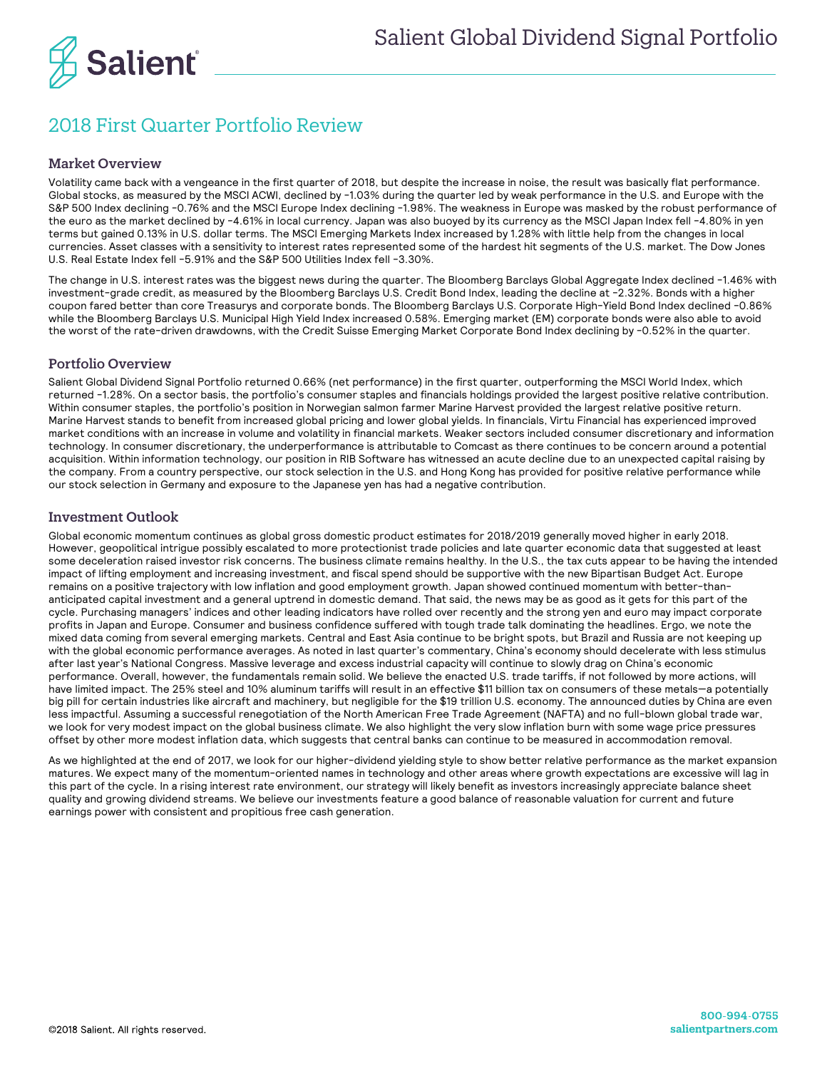

## 2018 First Quarter Portfolio Review

## Market Overview

Volatility came back with a vengeance in the first quarter of 2018, but despite the increase in noise, the result was basically flat performance. Global stocks, as measured by the MSCI ACWI, declined by -1.03% during the quarter led by weak performance in the U.S. and Europe with the S&P 500 Index declining -0.76% and the MSCI Europe Index declining -1.98%. The weakness in Europe was masked by the robust performance of the euro as the market declined by -4.61% in local currency. Japan was also buoyed by its currency as the MSCI Japan Index fell -4.80% in yen terms but gained 0.13% in U.S. dollar terms. The MSCI Emerging Markets Index increased by 1.28% with little help from the changes in local currencies. Asset classes with a sensitivity to interest rates represented some of the hardest hit segments of the U.S. market. The Dow Jones U.S. Real Estate Index fell -5.91% and the S&P 500 Utilities Index fell -3.30%.

The change in U.S. interest rates was the biggest news during the quarter. The Bloomberg Barclays Global Aggregate Index declined -1.46% with investment-grade credit, as measured by the Bloomberg Barclays U.S. Credit Bond Index, leading the decline at -2.32%. Bonds with a higher coupon fared better than core Treasurys and corporate bonds. The Bloomberg Barclays U.S. Corporate High-Yield Bond Index declined -0.86% while the Bloomberg Barclays U.S. Municipal High Yield Index increased 0.58%. Emerging market (EM) corporate bonds were also able to avoid the worst of the rate-driven drawdowns, with the Credit Suisse Emerging Market Corporate Bond Index declining by -0.52% in the quarter.

## Portfolio Overview

Salient Global Dividend Signal Portfolio returned 0.66% (net performance) in the first quarter, outperforming the MSCI World Index, which returned -1.28%. On a sector basis, the portfolio's consumer staples and financials holdings provided the largest positive relative contribution. Within consumer staples, the portfolio's position in Norwegian salmon farmer Marine Harvest provided the largest relative positive return. Marine Harvest stands to benefit from increased global pricing and lower global yields. In financials, Virtu Financial has experienced improved market conditions with an increase in volume and volatility in financial markets. Weaker sectors included consumer discretionary and information technology. In consumer discretionary, the underperformance is attributable to Comcast as there continues to be concern around a potential acquisition. Within information technology, our position in RIB Software has witnessed an acute decline due to an unexpected capital raising by the company. From a country perspective, our stock selection in the U.S. and Hong Kong has provided for positive relative performance while our stock selection in Germany and exposure to the Japanese yen has had a negative contribution.

## Investment Outlook

Global economic momentum continues as global gross domestic product estimates for 2018/2019 generally moved higher in early 2018. However, geopolitical intrigue possibly escalated to more protectionist trade policies and late quarter economic data that suggested at least some deceleration raised investor risk concerns. The business climate remains healthy. In the U.S., the tax cuts appear to be having the intended impact of lifting employment and increasing investment, and fiscal spend should be supportive with the new Bipartisan Budget Act. Europe remains on a positive trajectory with low inflation and good employment growth. Japan showed continued momentum with better-thananticipated capital investment and a general uptrend in domestic demand. That said, the news may be as good as it gets for this part of the cycle. Purchasing managers' indices and other leading indicators have rolled over recently and the strong yen and euro may impact corporate profits in Japan and Europe. Consumer and business confidence suffered with tough trade talk dominating the headlines. Ergo, we note the mixed data coming from several emerging markets. Central and East Asia continue to be bright spots, but Brazil and Russia are not keeping up with the global economic performance averages. As noted in last quarter's commentary, China's economy should decelerate with less stimulus after last year's National Congress. Massive leverage and excess industrial capacity will continue to slowly drag on China's economic performance. Overall, however, the fundamentals remain solid. We believe the enacted U.S. trade tariffs, if not followed by more actions, will have limited impact. The 25% steel and 10% aluminum tariffs will result in an effective \$11 billion tax on consumers of these metals-a potentially big pill for certain industries like aircraft and machinery, but negligible for the \$19 trillion U.S. economy. The announced duties by China are even less impactful. Assuming a successful renegotiation of the North American Free Trade Agreement (NAFTA) and no full-blown global trade war, we look for very modest impact on the global business climate. We also highlight the very slow inflation burn with some wage price pressures offset by other more modest inflation data, which suggests that central banks can continue to be measured in accommodation removal.

As we highlighted at the end of 2017, we look for our higher-dividend yielding style to show better relative performance as the market expansion matures. We expect many of the momentum-oriented names in technology and other areas where growth expectations are excessive will lag in this part of the cycle. In a rising interest rate environment, our strategy will likely benefit as investors increasingly appreciate balance sheet quality and growing dividend streams. We believe our investments feature a good balance of reasonable valuation for current and future earnings power with consistent and propitious free cash generation.